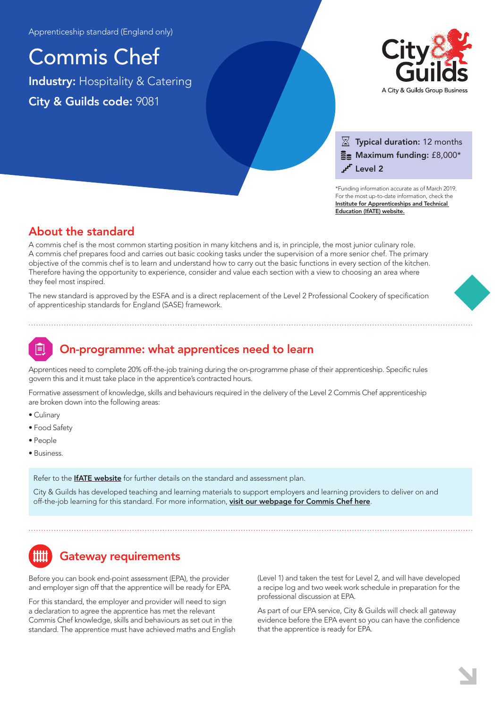Commis Chef Industry: Hospitality & Catering City & Guilds code: 9081



### $\overline{\mathbb{X}}$  Typical duration: 12 months  $\Xi$  Maximum funding: £8,000\* Level 2

\*Funding information accurate as of March 2019. For the most up-to-date information, check the [Institute for Apprenticeships and Technical](https://www.instituteforapprenticeships.org/apprenticeship-standards/commis-chef/)  Education (IfATE) website.

## About the standard

A commis chef is the most common starting position in many kitchens and is, in principle, the most junior culinary role. A commis chef prepares food and carries out basic cooking tasks under the supervision of a more senior chef. The primary objective of the commis chef is to learn and understand how to carry out the basic functions in every section of the kitchen. Therefore having the opportunity to experience, consider and value each section with a view to choosing an area where they feel most inspired.

The new standard is approved by the ESFA and is a direct replacement of the Level 2 Professional Cookery of specification of apprenticeship standards for England (SASE) framework.

## On-programme: what apprentices need to learn

Apprentices need to complete 20% off-the-job training during the on-programme phase of their apprenticeship. Specific rules govern this and it must take place in the apprentice's contracted hours.

Formative assessment of knowledge, skills and behaviours required in the delivery of the Level 2 Commis Chef apprenticeship are broken down into the following areas:

- Culinary
- Food Safety
- People
- Business.

Refer to the **[IfATE website](https://www.instituteforapprenticeships.org/apprenticeship-standards/commis-chef/)** for further details on the standard and assessment plan.

City & Guilds has developed teaching and learning materials to support employers and learning providers to deliver on and off-the-job learning for this standard. For more information, [visit our webpage for Commis Chef here](https://www.cityandguilds.com/qualifications-and-apprenticeships/hospitality-and-catering/hospitality-and-catering/9081-commis-chef#tab=information).

# Gateway requirements

Before you can book end-point assessment (EPA), the provider and employer sign off that the apprentice will be ready for EPA.

For this standard, the employer and provider will need to sign a declaration to agree the apprentice has met the relevant Commis Chef knowledge, skills and behaviours as set out in the standard. The apprentice must have achieved maths and English (Level 1) and taken the test for Level 2, and will have developed a recipe log and two week work schedule in preparation for the professional discussion at EPA.

As part of our EPA service, City & Guilds will check all gateway evidence before the EPA event so you can have the confidence that the apprentice is ready for EPA.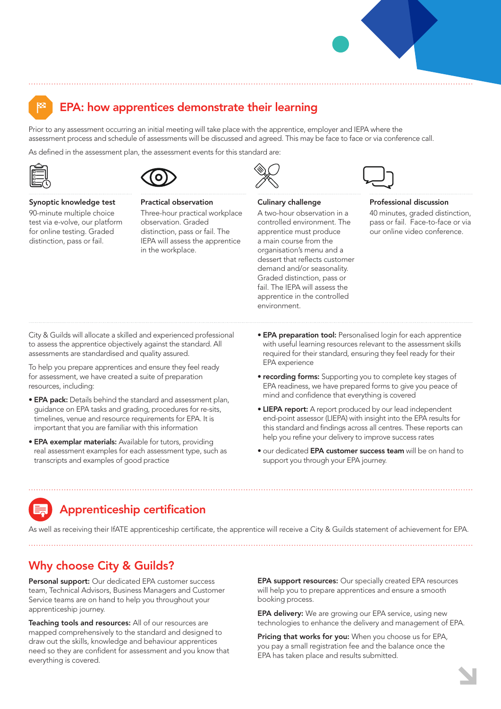

## EPA: how apprentices demonstrate their learning

Prior to any assessment occurring an initial meeting will take place with the apprentice, employer and IEPA where the assessment process and schedule of assessments will be discussed and agreed. This may be face to face or via conference call.

As defined in the assessment plan, the assessment events for this standard are:





Practical observation

#### Synoptic knowledge test

90-minute multiple choice test via e-volve, our platform for online testing. Graded distinction, pass or fail.

Three-hour practical workplace observation. Graded distinction, pass or fail. The IEPA will assess the apprentice in the workplace.



#### Culinary challenge

A two-hour observation in a controlled environment. The apprentice must produce a main course from the organisation's menu and a dessert that reflects customer demand and/or seasonality. Graded distinction, pass or fail. The IEPA will assess the apprentice in the controlled environment.



#### Professional discussion

40 minutes, graded distinction, pass or fail. Face-to-face or via our online video conference.

City & Guilds will allocate a skilled and experienced professional to assess the apprentice objectively against the standard. All assessments are standardised and quality assured.

To help you prepare apprentices and ensure they feel ready for assessment, we have created a suite of preparation resources, including:

- EPA pack: Details behind the standard and assessment plan, guidance on EPA tasks and grading, procedures for re-sits, timelines, venue and resource requirements for EPA. It is important that you are familiar with this information
- EPA exemplar materials: Available for tutors, providing real assessment examples for each assessment type, such as transcripts and examples of good practice
- **EPA preparation tool:** Personalised login for each apprentice with useful learning resources relevant to the assessment skills required for their standard, ensuring they feel ready for their EPA experience
- recording forms: Supporting you to complete key stages of EPA readiness, we have prepared forms to give you peace of mind and confidence that everything is covered
- LIEPA report: A report produced by our lead independent end-point assessor (LIEPA) with insight into the EPA results for this standard and findings across all centres. These reports can help you refine your delivery to improve success rates
- our dedicated EPA customer success team will be on hand to support you through your EPA journey.

# Apprenticeship certification

As well as receiving their IfATE apprenticeship certificate, the apprentice will receive a City & Guilds statement of achievement for EPA.

### Why choose City & Guilds?

Personal support: Our dedicated EPA customer success team, Technical Advisors, Business Managers and Customer Service teams are on hand to help you throughout your apprenticeship journey.

Teaching tools and resources: All of our resources are mapped comprehensively to the standard and designed to draw out the skills, knowledge and behaviour apprentices need so they are confident for assessment and you know that everything is covered.

EPA support resources: Our specially created EPA resources will help you to prepare apprentices and ensure a smooth booking process.

**EPA delivery:** We are growing our EPA service, using new technologies to enhance the delivery and management of EPA.

Pricing that works for you: When you choose us for EPA, you pay a small registration fee and the balance once the EPA has taken place and results submitted.